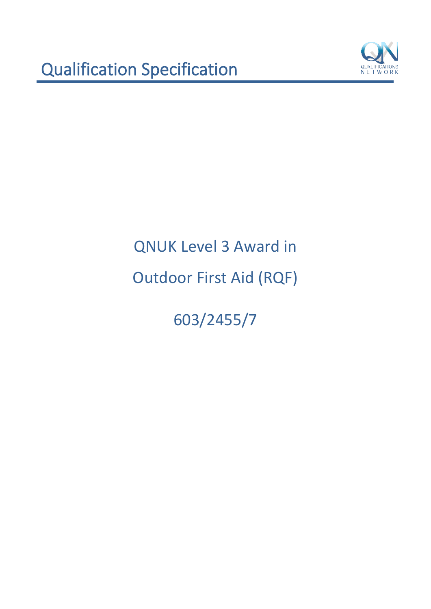

603/2455/7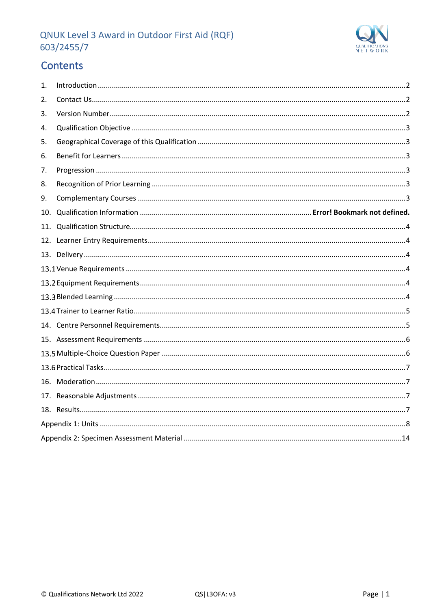

# Contents

| 1.  |  |
|-----|--|
| 2.  |  |
| 3.  |  |
| 4.  |  |
| 5.  |  |
| 6.  |  |
| 7.  |  |
| 8.  |  |
| 9.  |  |
| 10. |  |
| 11. |  |
|     |  |
|     |  |
|     |  |
|     |  |
|     |  |
|     |  |
|     |  |
|     |  |
|     |  |
|     |  |
|     |  |
|     |  |
|     |  |
|     |  |
|     |  |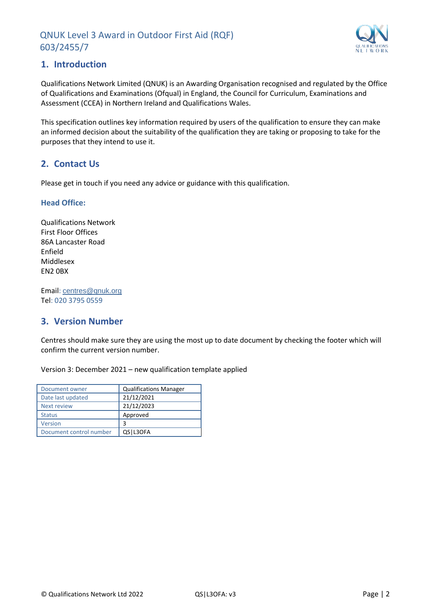

## <span id="page-2-0"></span>**1. Introduction**

Qualifications Network Limited (QNUK) is an Awarding Organisation recognised and regulated by the Office of Qualifications and Examinations (Ofqual) in England, the Council for Curriculum, Examinations and Assessment (CCEA) in Northern Ireland and Qualifications Wales.

This specification outlines key information required by users of the qualification to ensure they can make an informed decision about the suitability of the qualification they are taking or proposing to take for the purposes that they intend to use it.

## <span id="page-2-1"></span>**2. Contact Us**

Please get in touch if you need any advice or guidance with this qualification.

#### **Head Office:**

Qualifications Network First Floor Offices 86A Lancaster Road Enfield Middlesex EN2 0BX

Email: [centres@qnuk.org](mailto:CentreSupport@Qualifications-Network.co.uk) Tel: 020 3795 0559

## <span id="page-2-2"></span>**3. Version Number**

Centres should make sure they are using the most up to date document by checking the footer which will confirm the current version number.

Version 3: December 2021 – new qualification template applied

| Document owner          | <b>Qualifications Manager</b> |
|-------------------------|-------------------------------|
| Date last updated       | 21/12/2021                    |
| <b>Next review</b>      | 21/12/2023                    |
| <b>Status</b>           | Approved                      |
| Version                 | 3                             |
| Document control number | QS L3OFA                      |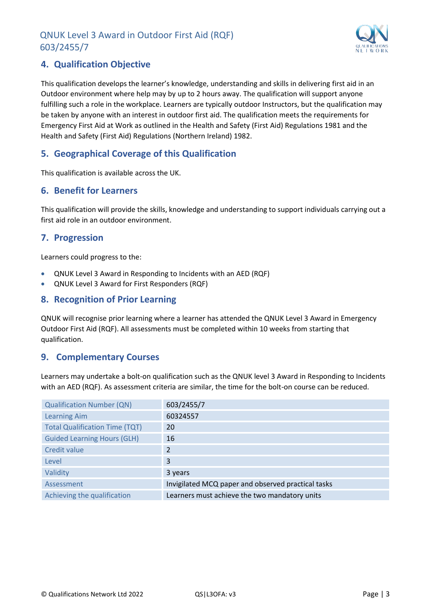

# <span id="page-3-0"></span>**4. Qualification Objective**

This qualification develops the learner's knowledge, understanding and skills in delivering first aid in an Outdoor environment where help may by up to 2 hours away. The qualification will support anyone fulfilling such a role in the workplace. Learners are typically outdoor Instructors, but the qualification may be taken by anyone with an interest in outdoor first aid. The qualification meets the requirements for Emergency First Aid at Work as outlined in the Health and Safety (First Aid) Regulations 1981 and the Health and Safety (First Aid) Regulations (Northern Ireland) 1982.

## <span id="page-3-1"></span>**5. Geographical Coverage of this Qualification**

This qualification is available across the UK.

#### <span id="page-3-2"></span>**6. Benefit for Learners**

This qualification will provide the skills, knowledge and understanding to support individuals carrying out a first aid role in an outdoor environment.

#### <span id="page-3-3"></span>**7. Progression**

Learners could progress to the:

- QNUK Level 3 Award in Responding to Incidents with an AED (RQF)
- QNUK Level 3 Award for First Responders (RQF)

#### <span id="page-3-4"></span>**8. Recognition of Prior Learning**

QNUK will recognise prior learning where a learner has attended the QNUK Level 3 Award in Emergency Outdoor First Aid (RQF). All assessments must be completed within 10 weeks from starting that qualification.

#### <span id="page-3-5"></span>**9. Complementary Courses**

Learners may undertake a bolt-on qualification such as the QNUK level 3 Award in Responding to Incidents with an AED (RQF). As assessment criteria are similar, the time for the bolt-on course can be reduced.

| <b>Qualification Number (QN)</b>      | 603/2455/7                                         |
|---------------------------------------|----------------------------------------------------|
| <b>Learning Aim</b>                   | 60324557                                           |
| <b>Total Qualification Time (TQT)</b> | 20                                                 |
| <b>Guided Learning Hours (GLH)</b>    | 16                                                 |
| <b>Credit value</b>                   | 2                                                  |
| Level                                 | 3                                                  |
| Validity                              | 3 years                                            |
| Assessment                            | Invigilated MCQ paper and observed practical tasks |
| Achieving the qualification           | Learners must achieve the two mandatory units      |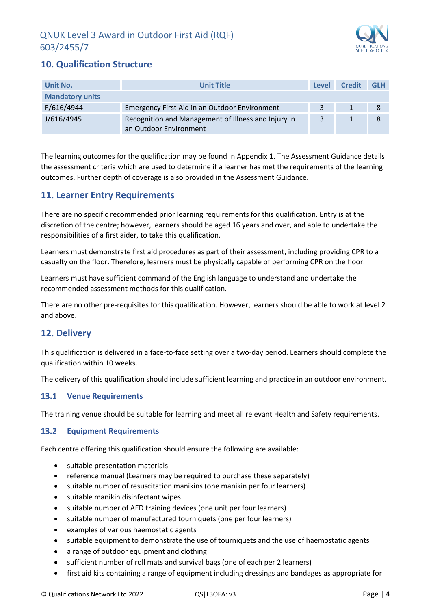

# <span id="page-4-0"></span>**10. Qualification Structure**

| Unit No.               | <b>Unit Title</b>                                                             | Level | <b>Credit</b> | <b>GLH</b> |
|------------------------|-------------------------------------------------------------------------------|-------|---------------|------------|
| <b>Mandatory units</b> |                                                                               |       |               |            |
| F/616/4944             | Emergency First Aid in an Outdoor Environment                                 | 2     |               |            |
| J/616/4945             | Recognition and Management of Illness and Injury in<br>an Outdoor Environment | 3     |               | 8          |

The learning outcomes for the qualification may be found in Appendix 1. The Assessment Guidance details the assessment criteria which are used to determine if a learner has met the requirements of the learning outcomes. Further depth of coverage is also provided in the Assessment Guidance.

## <span id="page-4-1"></span>**11. Learner Entry Requirements**

There are no specific recommended prior learning requirements for this qualification. Entry is at the discretion of the centre; however, learners should be aged 16 years and over, and able to undertake the responsibilities of a first aider, to take this qualification.

Learners must demonstrate first aid procedures as part of their assessment, including providing CPR to a casualty on the floor. Therefore, learners must be physically capable of performing CPR on the floor.

Learners must have sufficient command of the English language to understand and undertake the recommended assessment methods for this qualification.

There are no other pre-requisites for this qualification. However, learners should be able to work at level 2 and above.

## <span id="page-4-2"></span>**12. Delivery**

This qualification is delivered in a face-to-face setting over a two-day period. Learners should complete the qualification within 10 weeks.

The delivery of this qualification should include sufficient learning and practice in an outdoor environment.

#### <span id="page-4-3"></span>**Venue Requirements**

The training venue should be suitable for learning and meet all relevant Health and Safety requirements.

#### <span id="page-4-4"></span>**Equipment Requirements** 13.2

<span id="page-4-5"></span>Each centre offering this qualification should ensure the following are available:

- suitable presentation materials
- reference manual (Learners may be required to purchase these separately)
- suitable number of resuscitation manikins (one manikin per four learners)
- suitable manikin disinfectant wipes
- suitable number of AED training devices (one unit per four learners)
- suitable number of manufactured tourniquets (one per four learners)
- examples of various haemostatic agents
- suitable equipment to demonstrate the use of tourniquets and the use of haemostatic agents
- a range of outdoor equipment and clothing
- sufficient number of roll mats and survival bags (one of each per 2 learners)
- first aid kits containing a range of equipment including dressings and bandages as appropriate for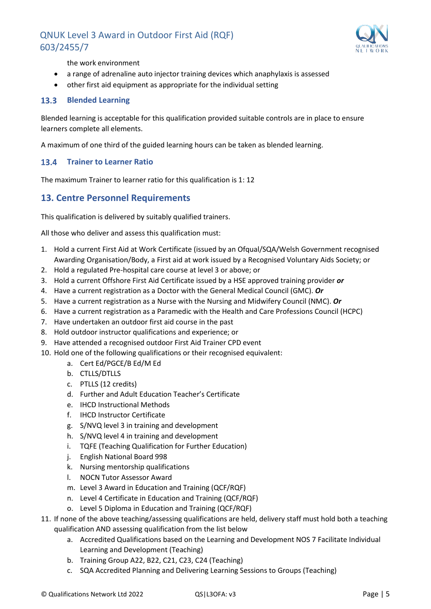

the work environment

- a range of adrenaline auto injector training devices which anaphylaxis is assessed
- other first aid equipment as appropriate for the individual setting

#### **Blended Learning**

Blended learning is acceptable for this qualification provided suitable controls are in place to ensure learners complete all elements.

A maximum of one third of the guided learning hours can be taken as blended learning.

#### <span id="page-5-0"></span>**Trainer to Learner Ratio**

The maximum Trainer to learner ratio for this qualification is 1: 12

#### <span id="page-5-1"></span>**13. Centre Personnel Requirements**

This qualification is delivered by suitably qualified trainers.

All those who deliver and assess this qualification must:

- 1. Hold a current First Aid at Work Certificate (issued by an Ofqual/SQA/Welsh Government recognised Awarding Organisation/Body, a First aid at work issued by a Recognised Voluntary Aids Society; or
- 2. Hold a regulated Pre-hospital care course at level 3 or above; or
- 3. Hold a current Offshore First Aid Certificate issued by a HSE approved training provider *or*
- 4. Have a current registration as a Doctor with the General Medical Council (GMC). *Or*
- 5. Have a current registration as a Nurse with the Nursing and Midwifery Council (NMC). *Or*
- 6. Have a current registration as a Paramedic with the Health and Care Professions Council (HCPC)
- 7. Have undertaken an outdoor first aid course in the past
- 8. Hold outdoor instructor qualifications and experience; or
- 9. Have attended a recognised outdoor First Aid Trainer CPD event
- 10. Hold one of the following qualifications or their recognised equivalent:
	- a. Cert Ed/PGCE/B Ed/M Ed
	- b. CTLLS/DTLLS
	- c. PTLLS (12 credits)
	- d. Further and Adult Education Teacher's Certificate
	- e. IHCD Instructional Methods
	- f. IHCD Instructor Certificate
	- g. S/NVQ level 3 in training and development
	- h. S/NVQ level 4 in training and development
	- i. TQFE (Teaching Qualification for Further Education)
	- j. English National Board 998
	- k. Nursing mentorship qualifications
	- l. NOCN Tutor Assessor Award
	- m. Level 3 Award in Education and Training (QCF/RQF)
	- n. Level 4 Certificate in Education and Training (QCF/RQF)
	- o. Level 5 Diploma in Education and Training (QCF/RQF)
- 11. If none of the above teaching/assessing qualifications are held, delivery staff must hold both a teaching
	- qualification AND assessing qualification from the list below
		- a. Accredited Qualifications based on the Learning and Development NOS 7 Facilitate Individual Learning and Development (Teaching)
		- b. Training Group A22, B22, C21, C23, C24 (Teaching)
		- c. SQA Accredited Planning and Delivering Learning Sessions to Groups (Teaching)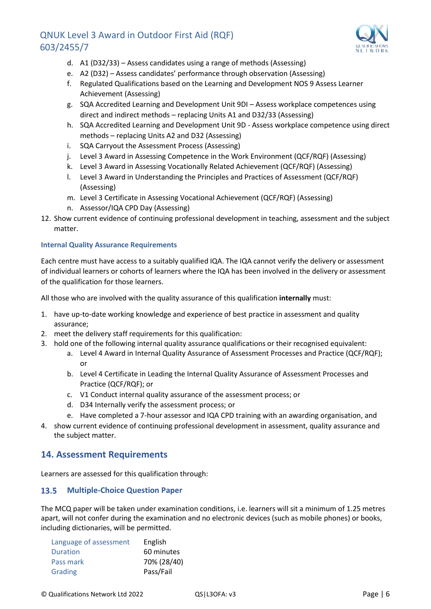

- d. A1 (D32/33) Assess candidates using a range of methods (Assessing)
- e. A2 (D32) Assess candidates' performance through observation (Assessing)
- f. Regulated Qualifications based on the Learning and Development NOS 9 Assess Learner Achievement (Assessing)
- g. SQA Accredited Learning and Development Unit 9DI Assess workplace competences using direct and indirect methods – replacing Units A1 and D32/33 (Assessing)
- h. SQA Accredited Learning and Development Unit 9D Assess workplace competence using direct methods – replacing Units A2 and D32 (Assessing)
- i. SQA Carryout the Assessment Process (Assessing)
- j. Level 3 Award in Assessing Competence in the Work Environment (QCF/RQF) (Assessing)
- k. Level 3 Award in Assessing Vocationally Related Achievement (QCF/RQF) (Assessing)
- l. Level 3 Award in Understanding the Principles and Practices of Assessment (QCF/RQF) (Assessing)
- m. Level 3 Certificate in Assessing Vocational Achievement (QCF/RQF) (Assessing)
- n. Assessor/IQA CPD Day (Assessing)
- 12. Show current evidence of continuing professional development in teaching, assessment and the subject matter.

#### **Internal Quality Assurance Requirements**

Each centre must have access to a suitably qualified IQA. The IQA cannot verify the delivery or assessment of individual learners or cohorts of learners where the IQA has been involved in the delivery or assessment of the qualification for those learners.

All those who are involved with the quality assurance of this qualification **internally** must:

- 1. have up-to-date working knowledge and experience of best practice in assessment and quality assurance;
- 2. meet the delivery staff requirements for this qualification:
- 3. hold one of the following internal quality assurance qualifications or their recognised equivalent:
	- a. Level 4 Award in Internal Quality Assurance of Assessment Processes and Practice (QCF/RQF); or
	- b. Level 4 Certificate in Leading the Internal Quality Assurance of Assessment Processes and Practice (QCF/RQF); or
	- c. V1 Conduct internal quality assurance of the assessment process; or
	- d. D34 Internally verify the assessment process; or
	- e. Have completed a 7-hour assessor and IQA CPD training with an awarding organisation, and
- 4. show current evidence of continuing professional development in assessment, quality assurance and the subject matter.

#### <span id="page-6-0"></span>**14. Assessment Requirements**

Learners are assessed for this qualification through:

#### <span id="page-6-1"></span>13.5 **Multiple-Choice Question Paper**

The MCQ paper will be taken under examination conditions, i.e. learners will sit a minimum of 1.25 metres apart, will not confer during the examination and no electronic devices (such as mobile phones) or books, including dictionaries, will be permitted.

| Language of assessment | English     |
|------------------------|-------------|
| Duration               | 60 minutes  |
| Pass mark              | 70% (28/40) |
| Grading                | Pass/Fail   |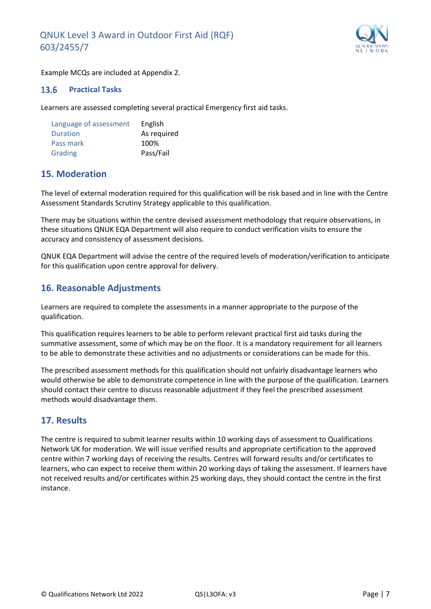

Example MCQs are included at Appendix 2.

#### <span id="page-7-0"></span> $13.6$ **Practical Tasks**

Learners are assessed completing several practical Emergency first aid tasks.

| Language of assessment | English     |
|------------------------|-------------|
| <b>Duration</b>        | As required |
| Pass mark              | 100%        |
| Grading                | Pass/Fail   |

## <span id="page-7-1"></span>**15. Moderation**

The level of external moderation required for this qualification will be risk based and in line with the Centre Assessment Standards Scrutiny Strategy applicable to this qualification.

There may be situations within the centre devised assessment methodology that require observations, in these situations QNUK EQA Department will also require to conduct verification visits to ensure the accuracy and consistency of assessment decisions.

QNUK EQA Department will advise the centre of the required levels of moderation/verification to anticipate for this qualification upon centre approval for delivery.

#### <span id="page-7-2"></span>**16. Reasonable Adjustments**

Learners are required to complete the assessments in a manner appropriate to the purpose of the qualification.

This qualification requires learners to be able to perform relevant practical first aid tasks during the summative assessment, some of which may be on the floor. It is a mandatory requirement for all learners to be able to demonstrate these activities and no adjustments or considerations can be made for this.

The prescribed assessment methods for this qualification should not unfairly disadvantage learners who would otherwise be able to demonstrate competence in line with the purpose of the qualification. Learners should contact their centre to discuss reasonable adjustment if they feel the prescribed assessment methods would disadvantage them.

#### <span id="page-7-3"></span>**17. Results**

The centre is required to submit learner results within 10 working days of assessment to Qualifications Network UK for moderation. We will issue verified results and appropriate certification to the approved centre within 7 working days of receiving the results. Centres will forward results and/or certificates to learners, who can expect to receive them within 20 working days of taking the assessment. If learners have not received results and/or certificates within 25 working days, they should contact the centre in the first instance.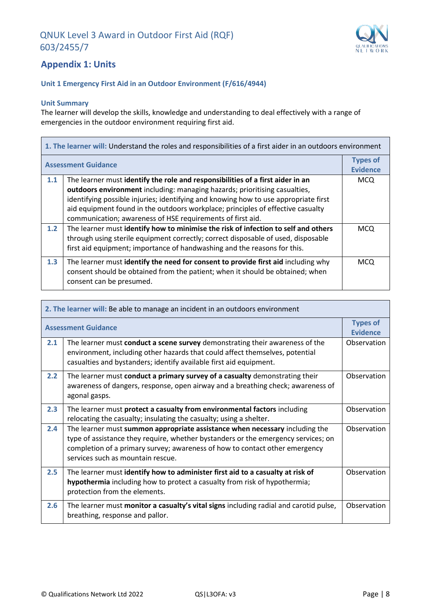

# <span id="page-8-0"></span>**Appendix 1: Units**

#### **Unit 1 Emergency First Aid in an Outdoor Environment (F/616/4944)**

#### **Unit Summary**

The learner will develop the skills, knowledge and understanding to deal effectively with a range of emergencies in the outdoor environment requiring first aid.

| 1. The learner will: Understand the roles and responsibilities of a first aider in an outdoors environment |                                                                                                                                                                                                                                                                                                                                                                                                      |                                    |
|------------------------------------------------------------------------------------------------------------|------------------------------------------------------------------------------------------------------------------------------------------------------------------------------------------------------------------------------------------------------------------------------------------------------------------------------------------------------------------------------------------------------|------------------------------------|
| <b>Assessment Guidance</b>                                                                                 |                                                                                                                                                                                                                                                                                                                                                                                                      | <b>Types of</b><br><b>Evidence</b> |
| 1.1                                                                                                        | The learner must identify the role and responsibilities of a first aider in an<br>outdoors environment including: managing hazards; prioritising casualties,<br>identifying possible injuries; identifying and knowing how to use appropriate first<br>aid equipment found in the outdoors workplace; principles of effective casualty<br>communication; awareness of HSE requirements of first aid. | <b>MCQ</b>                         |
| 1.2                                                                                                        | The learner must identify how to minimise the risk of infection to self and others<br>through using sterile equipment correctly; correct disposable of used, disposable<br>first aid equipment; importance of handwashing and the reasons for this.                                                                                                                                                  | <b>MCQ</b>                         |
| 1.3                                                                                                        | The learner must identify the need for consent to provide first aid including why<br>consent should be obtained from the patient; when it should be obtained; when<br>consent can be presumed.                                                                                                                                                                                                       | <b>MCO</b>                         |

| 2. The learner will: Be able to manage an incident in an outdoors environment |                                                                                                                                                                                                                                                                                      |                                    |
|-------------------------------------------------------------------------------|--------------------------------------------------------------------------------------------------------------------------------------------------------------------------------------------------------------------------------------------------------------------------------------|------------------------------------|
|                                                                               | <b>Assessment Guidance</b>                                                                                                                                                                                                                                                           | <b>Types of</b><br><b>Evidence</b> |
| 2.1                                                                           | The learner must conduct a scene survey demonstrating their awareness of the<br>environment, including other hazards that could affect themselves, potential<br>casualties and bystanders; identify available first aid equipment.                                                   | Observation                        |
| 2.2                                                                           | The learner must conduct a primary survey of a casualty demonstrating their<br>awareness of dangers, response, open airway and a breathing check; awareness of<br>agonal gasps.                                                                                                      | Observation                        |
| 2.3                                                                           | The learner must protect a casualty from environmental factors including<br>relocating the casualty; insulating the casualty; using a shelter.                                                                                                                                       | Observation                        |
| 2.4                                                                           | The learner must summon appropriate assistance when necessary including the<br>type of assistance they require, whether bystanders or the emergency services; on<br>completion of a primary survey; awareness of how to contact other emergency<br>services such as mountain rescue. | Observation                        |
| 2.5                                                                           | The learner must identify how to administer first aid to a casualty at risk of<br>hypothermia including how to protect a casualty from risk of hypothermia;<br>protection from the elements.                                                                                         | Observation                        |
| 2.6                                                                           | The learner must monitor a casualty's vital signs including radial and carotid pulse,<br>breathing, response and pallor.                                                                                                                                                             | Observation                        |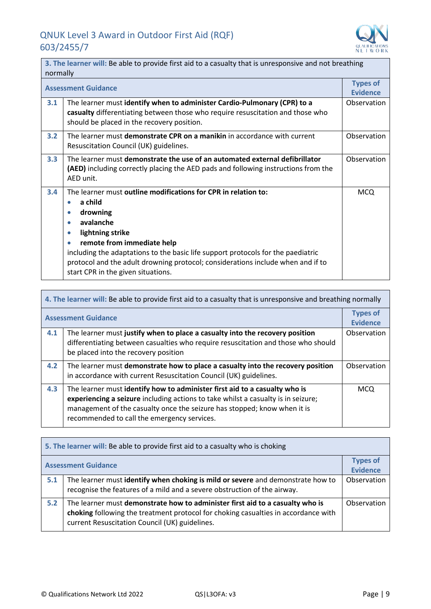

 $\overline{\phantom{0}}$ 

| 3. The learner will: Be able to provide first aid to a casualty that is unresponsive and not breathing<br>normally |                                                                                                                                                                                                                                                                                                                                                                                                            |                                    |
|--------------------------------------------------------------------------------------------------------------------|------------------------------------------------------------------------------------------------------------------------------------------------------------------------------------------------------------------------------------------------------------------------------------------------------------------------------------------------------------------------------------------------------------|------------------------------------|
|                                                                                                                    | <b>Assessment Guidance</b>                                                                                                                                                                                                                                                                                                                                                                                 | <b>Types of</b><br><b>Evidence</b> |
| 3.1                                                                                                                | The learner must identify when to administer Cardio-Pulmonary (CPR) to a<br>casualty differentiating between those who require resuscitation and those who<br>should be placed in the recovery position.                                                                                                                                                                                                   | Observation                        |
| 3.2                                                                                                                | The learner must demonstrate CPR on a manikin in accordance with current<br>Resuscitation Council (UK) guidelines.                                                                                                                                                                                                                                                                                         | Observation                        |
| 3.3                                                                                                                | The learner must demonstrate the use of an automated external defibrillator<br><b>(AED)</b> including correctly placing the AED pads and following instructions from the<br>AED unit.                                                                                                                                                                                                                      | Observation                        |
| 3.4                                                                                                                | The learner must outline modifications for CPR in relation to:<br>a child<br>٠<br>drowning<br>$\bullet$<br>avalanche<br>۰<br>lightning strike<br>۰<br>remote from immediate help<br>$\bullet$<br>including the adaptations to the basic life support protocols for the paediatric<br>protocol and the adult drowning protocol; considerations include when and if to<br>start CPR in the given situations. | <b>MCQ</b>                         |

| 4. The learner will: Be able to provide first aid to a casualty that is unresponsive and breathing normally |                                                                                                                                                                                                                                                                                            |                                    |
|-------------------------------------------------------------------------------------------------------------|--------------------------------------------------------------------------------------------------------------------------------------------------------------------------------------------------------------------------------------------------------------------------------------------|------------------------------------|
| <b>Assessment Guidance</b>                                                                                  |                                                                                                                                                                                                                                                                                            | <b>Types of</b><br><b>Evidence</b> |
| 4.1                                                                                                         | The learner must justify when to place a casualty into the recovery position<br>differentiating between casualties who require resuscitation and those who should<br>be placed into the recovery position                                                                                  | Observation                        |
| 4.2                                                                                                         | The learner must demonstrate how to place a casualty into the recovery position<br>in accordance with current Resuscitation Council (UK) guidelines.                                                                                                                                       | Observation                        |
| 4.3                                                                                                         | The learner must identify how to administer first aid to a casualty who is<br>experiencing a seizure including actions to take whilst a casualty is in seizure;<br>management of the casualty once the seizure has stopped; know when it is<br>recommended to call the emergency services. | <b>MCQ</b>                         |

| 5. The learner will: Be able to provide first aid to a casualty who is choking |                                                                                                                                                                                                                       |                                    |
|--------------------------------------------------------------------------------|-----------------------------------------------------------------------------------------------------------------------------------------------------------------------------------------------------------------------|------------------------------------|
|                                                                                | <b>Assessment Guidance</b>                                                                                                                                                                                            | <b>Types of</b><br><b>Evidence</b> |
| 5.1                                                                            | The learner must identify when choking is mild or severe and demonstrate how to<br>recognise the features of a mild and a severe obstruction of the airway.                                                           | Observation                        |
| 5.2                                                                            | The learner must demonstrate how to administer first aid to a casualty who is<br>choking following the treatment protocol for choking casualties in accordance with<br>current Resuscitation Council (UK) guidelines. | Observation                        |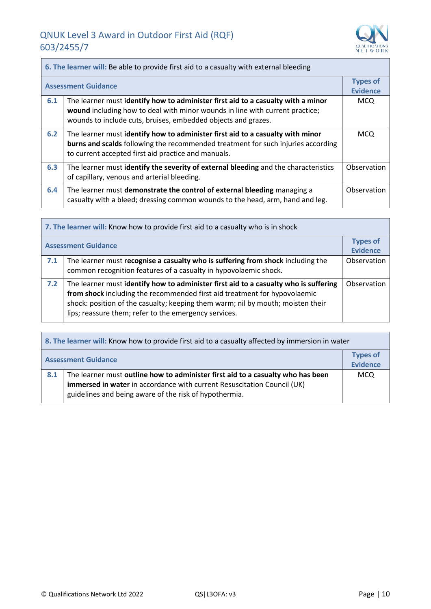$\overline{ }$ 



| 6. The learner will: Be able to provide first aid to a casualty with external bleeding |                                                                                                                                                                                                                                   |                                    |
|----------------------------------------------------------------------------------------|-----------------------------------------------------------------------------------------------------------------------------------------------------------------------------------------------------------------------------------|------------------------------------|
| <b>Assessment Guidance</b>                                                             |                                                                                                                                                                                                                                   | <b>Types of</b><br><b>Evidence</b> |
| 6.1                                                                                    | The learner must identify how to administer first aid to a casualty with a minor<br>wound including how to deal with minor wounds in line with current practice;<br>wounds to include cuts, bruises, embedded objects and grazes. | <b>MCQ</b>                         |
| 6.2                                                                                    | The learner must identify how to administer first aid to a casualty with minor<br>burns and scalds following the recommended treatment for such injuries according<br>to current accepted first aid practice and manuals.         | <b>MCQ</b>                         |
| 6.3                                                                                    | The learner must identify the severity of external bleeding and the characteristics<br>of capillary, venous and arterial bleeding.                                                                                                | Observation                        |
| 6.4                                                                                    | The learner must demonstrate the control of external bleeding managing a<br>casualty with a bleed; dressing common wounds to the head, arm, hand and leg.                                                                         | Observation                        |

| 7. The learner will: Know how to provide first aid to a casualty who is in shock |                                                                                                                                                                                                                                                                                                               |                                    |
|----------------------------------------------------------------------------------|---------------------------------------------------------------------------------------------------------------------------------------------------------------------------------------------------------------------------------------------------------------------------------------------------------------|------------------------------------|
| <b>Assessment Guidance</b>                                                       |                                                                                                                                                                                                                                                                                                               | <b>Types of</b><br><b>Evidence</b> |
| 7.1                                                                              | The learner must recognise a casualty who is suffering from shock including the<br>common recognition features of a casualty in hypovolaemic shock.                                                                                                                                                           | Observation                        |
| 7.2                                                                              | The learner must identify how to administer first aid to a casualty who is suffering<br>from shock including the recommended first aid treatment for hypovolaemic<br>shock: position of the casualty; keeping them warm; nil by mouth; moisten their<br>lips; reassure them; refer to the emergency services. | Observation                        |

| 8. The learner will: Know how to provide first aid to a casualty affected by immersion in water |                                                                                                                                                                                                                      |                             |
|-------------------------------------------------------------------------------------------------|----------------------------------------------------------------------------------------------------------------------------------------------------------------------------------------------------------------------|-----------------------------|
| <b>Assessment Guidance</b>                                                                      |                                                                                                                                                                                                                      | <b>Types of</b><br>Evidence |
| 8.1                                                                                             | The learner must outline how to administer first aid to a casualty who has been<br>immersed in water in accordance with current Resuscitation Council (UK)<br>guidelines and being aware of the risk of hypothermia. | <b>MCQ</b>                  |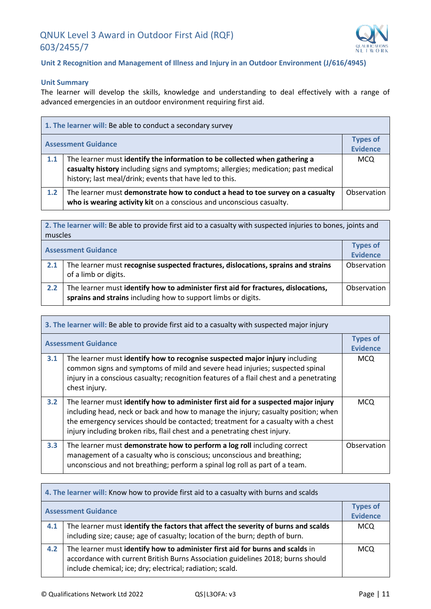

#### **Unit 2 Recognition and Management of Illness and Injury in an Outdoor Environment (J/616/4945)**

#### **Unit Summary**

The learner will develop the skills, knowledge and understanding to deal effectively with a range of advanced emergencies in an outdoor environment requiring first aid.

|                            | 1. The learner will: Be able to conduct a secondary survey                                                                                                                                                                  |                                    |
|----------------------------|-----------------------------------------------------------------------------------------------------------------------------------------------------------------------------------------------------------------------------|------------------------------------|
| <b>Assessment Guidance</b> |                                                                                                                                                                                                                             | <b>Types of</b><br><b>Evidence</b> |
|                            |                                                                                                                                                                                                                             |                                    |
| 1.1                        | The learner must identify the information to be collected when gathering a<br>casualty history including signs and symptoms; allergies; medication; past medical<br>history; last meal/drink; events that have led to this. | <b>MCQ</b>                         |
| 1.2                        | The learner must demonstrate how to conduct a head to toe survey on a casualty<br>who is wearing activity kit on a conscious and unconscious casualty.                                                                      | Observation                        |

**2. The learner will:** Be able to provide first aid to a casualty with suspected injuries to bones, joints and muscles

| <b>Assessment Guidance</b> |                                                                                                                                                     | <b>Types of</b><br><b>Evidence</b> |
|----------------------------|-----------------------------------------------------------------------------------------------------------------------------------------------------|------------------------------------|
| 2.1                        | The learner must recognise suspected fractures, dislocations, sprains and strains<br>of a limb or digits.                                           | Observation                        |
| 2.2                        | The learner must identify how to administer first aid for fractures, dislocations,<br>sprains and strains including how to support limbs or digits. | Observation                        |

| 3. The learner will: Be able to provide first aid to a casualty with suspected major injury |                                                                                                                                                                                                                                                                                                                                            |                                    |
|---------------------------------------------------------------------------------------------|--------------------------------------------------------------------------------------------------------------------------------------------------------------------------------------------------------------------------------------------------------------------------------------------------------------------------------------------|------------------------------------|
| <b>Assessment Guidance</b>                                                                  |                                                                                                                                                                                                                                                                                                                                            | <b>Types of</b><br><b>Evidence</b> |
| 3.1                                                                                         | The learner must identify how to recognise suspected major injury including<br>common signs and symptoms of mild and severe head injuries; suspected spinal<br>injury in a conscious casualty; recognition features of a flail chest and a penetrating<br>chest injury.                                                                    | <b>MCQ</b>                         |
| 3.2                                                                                         | The learner must identify how to administer first aid for a suspected major injury<br>including head, neck or back and how to manage the injury; casualty position; when<br>the emergency services should be contacted; treatment for a casualty with a chest<br>injury including broken ribs, flail chest and a penetrating chest injury. | <b>MCQ</b>                         |
| 3.3                                                                                         | The learner must demonstrate how to perform a log roll including correct<br>management of a casualty who is conscious; unconscious and breathing;<br>unconscious and not breathing; perform a spinal log roll as part of a team.                                                                                                           | Observation                        |

| 4. The learner will: Know how to provide first aid to a casualty with burns and scalds |                                                                                                                                                                                                                               |                                    |
|----------------------------------------------------------------------------------------|-------------------------------------------------------------------------------------------------------------------------------------------------------------------------------------------------------------------------------|------------------------------------|
| <b>Assessment Guidance</b>                                                             |                                                                                                                                                                                                                               | <b>Types of</b><br><b>Evidence</b> |
| 4.1                                                                                    | The learner must identify the factors that affect the severity of burns and scalds<br>including size; cause; age of casualty; location of the burn; depth of burn.                                                            | MCQ                                |
| 4.2                                                                                    | The learner must identify how to administer first aid for burns and scalds in<br>accordance with current British Burns Association guidelines 2018; burns should<br>include chemical; ice; dry; electrical; radiation; scald. | <b>MCQ</b>                         |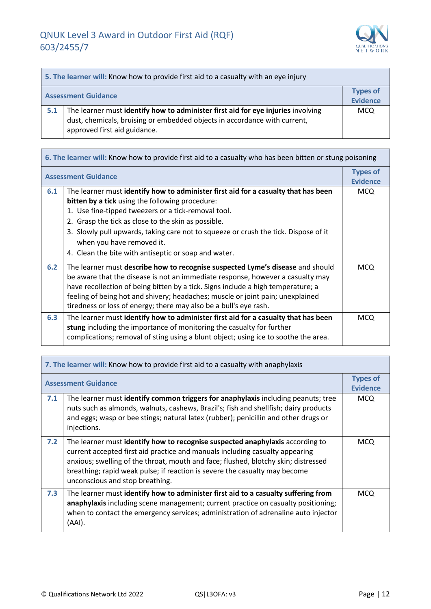

| 5. The learner will: Know how to provide first aid to a casualty with an eye injury |                                                                                                                                                                                               |                                    |
|-------------------------------------------------------------------------------------|-----------------------------------------------------------------------------------------------------------------------------------------------------------------------------------------------|------------------------------------|
| <b>Assessment Guidance</b>                                                          |                                                                                                                                                                                               | <b>Types of</b><br><b>Evidence</b> |
| 5.1                                                                                 | The learner must identify how to administer first aid for eye injuries involving<br>dust, chemicals, bruising or embedded objects in accordance with current,<br>approved first aid guidance. | <b>MCQ</b>                         |

| 6. The learner will: Know how to provide first aid to a casualty who has been bitten or stung poisoning |                                                                                                                                                                                                                                                                                                                                                                                                                                        |                                    |
|---------------------------------------------------------------------------------------------------------|----------------------------------------------------------------------------------------------------------------------------------------------------------------------------------------------------------------------------------------------------------------------------------------------------------------------------------------------------------------------------------------------------------------------------------------|------------------------------------|
|                                                                                                         | <b>Assessment Guidance</b>                                                                                                                                                                                                                                                                                                                                                                                                             | <b>Types of</b><br><b>Evidence</b> |
| 6.1                                                                                                     | The learner must identify how to administer first aid for a casualty that has been<br><b>bitten by a tick</b> using the following procedure:<br>1. Use fine-tipped tweezers or a tick-removal tool.<br>2. Grasp the tick as close to the skin as possible.<br>3. Slowly pull upwards, taking care not to squeeze or crush the tick. Dispose of it<br>when you have removed it.<br>4. Clean the bite with antiseptic or soap and water. | <b>MCQ</b>                         |
| 6.2                                                                                                     | The learner must describe how to recognise suspected Lyme's disease and should<br>be aware that the disease is not an immediate response, however a casualty may<br>have recollection of being bitten by a tick. Signs include a high temperature; a<br>feeling of being hot and shivery; headaches; muscle or joint pain; unexplained<br>tiredness or loss of energy; there may also be a bull's eye rash.                            | <b>MCQ</b>                         |
| 6.3                                                                                                     | The learner must identify how to administer first aid for a casualty that has been<br>stung including the importance of monitoring the casualty for further<br>complications; removal of sting using a blunt object; using ice to soothe the area.                                                                                                                                                                                     | <b>MCQ</b>                         |

| 7. The learner will: Know how to provide first aid to a casualty with anaphylaxis |                                                                                                                                                                                                                                                                                                                                                                      |                                    |
|-----------------------------------------------------------------------------------|----------------------------------------------------------------------------------------------------------------------------------------------------------------------------------------------------------------------------------------------------------------------------------------------------------------------------------------------------------------------|------------------------------------|
| <b>Assessment Guidance</b>                                                        |                                                                                                                                                                                                                                                                                                                                                                      | <b>Types of</b><br><b>Evidence</b> |
| 7.1                                                                               | The learner must identify common triggers for anaphylaxis including peanuts; tree<br>nuts such as almonds, walnuts, cashews, Brazil's; fish and shellfish; dairy products<br>and eggs; wasp or bee stings; natural latex (rubber); penicillin and other drugs or<br>injections.                                                                                      | <b>MCQ</b>                         |
| 7.2                                                                               | The learner must identify how to recognise suspected anaphylaxis according to<br>current accepted first aid practice and manuals including casualty appearing<br>anxious; swelling of the throat, mouth and face; flushed, blotchy skin; distressed<br>breathing; rapid weak pulse; if reaction is severe the casualty may become<br>unconscious and stop breathing. | <b>MCQ</b>                         |
| 7.3                                                                               | The learner must identify how to administer first aid to a casualty suffering from<br>anaphylaxis including scene management; current practice on casualty positioning;<br>when to contact the emergency services; administration of adrenaline auto injector<br>(AAI).                                                                                              | <b>MCQ</b>                         |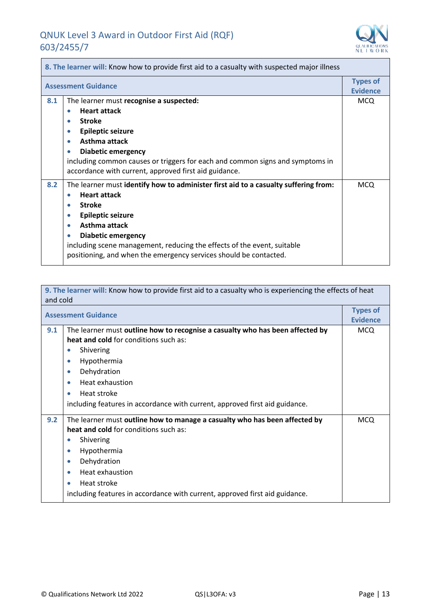<u> Tanzania de la conte</u>



| 8. The learner will: Know how to provide first aid to a casualty with suspected major illness |                                                                                                                                                                                                                                                                                                                                                                                                                 |                                    |
|-----------------------------------------------------------------------------------------------|-----------------------------------------------------------------------------------------------------------------------------------------------------------------------------------------------------------------------------------------------------------------------------------------------------------------------------------------------------------------------------------------------------------------|------------------------------------|
| <b>Assessment Guidance</b>                                                                    |                                                                                                                                                                                                                                                                                                                                                                                                                 | <b>Types of</b><br><b>Evidence</b> |
| 8.1                                                                                           | The learner must recognise a suspected:<br><b>Heart attack</b><br>0<br><b>Stroke</b><br>$\bullet$<br><b>Epileptic seizure</b><br>$\bullet$<br>Asthma attack<br>$\bullet$<br><b>Diabetic emergency</b><br>$\bullet$<br>including common causes or triggers for each and common signs and symptoms in<br>accordance with current, approved first aid guidance.                                                    | <b>MCQ</b>                         |
| 8.2                                                                                           | The learner must identify how to administer first aid to a casualty suffering from:<br><b>Heart attack</b><br>$\bullet$<br><b>Stroke</b><br>$\bullet$<br><b>Epileptic seizure</b><br>$\bullet$<br>Asthma attack<br>$\bullet$<br>Diabetic emergency<br>$\bullet$<br>including scene management, reducing the effects of the event, suitable<br>positioning, and when the emergency services should be contacted. | <b>MCQ</b>                         |

| 9. The learner will: Know how to provide first aid to a casualty who is experiencing the effects of heat |                                                                               |                 |
|----------------------------------------------------------------------------------------------------------|-------------------------------------------------------------------------------|-----------------|
| and cold                                                                                                 |                                                                               |                 |
| <b>Assessment Guidance</b>                                                                               |                                                                               | <b>Types of</b> |
|                                                                                                          |                                                                               | <b>Evidence</b> |
| 9.1                                                                                                      | The learner must outline how to recognise a casualty who has been affected by | <b>MCQ</b>      |
|                                                                                                          | heat and cold for conditions such as:                                         |                 |
|                                                                                                          | Shivering<br>$\bullet$                                                        |                 |
|                                                                                                          | Hypothermia<br>$\bullet$                                                      |                 |
|                                                                                                          | Dehydration<br>$\bullet$                                                      |                 |
|                                                                                                          | Heat exhaustion<br>$\bullet$                                                  |                 |
|                                                                                                          | Heat stroke<br>$\bullet$                                                      |                 |
|                                                                                                          | including features in accordance with current, approved first aid guidance.   |                 |
| 9.2                                                                                                      | The learner must outline how to manage a casualty who has been affected by    | <b>MCQ</b>      |
|                                                                                                          | heat and cold for conditions such as:                                         |                 |
|                                                                                                          | Shivering<br>$\bullet$                                                        |                 |
|                                                                                                          | Hypothermia<br>$\bullet$                                                      |                 |
|                                                                                                          | Dehydration<br>$\bullet$                                                      |                 |
|                                                                                                          | Heat exhaustion<br>$\bullet$                                                  |                 |
|                                                                                                          | Heat stroke                                                                   |                 |
|                                                                                                          | including features in accordance with current, approved first aid guidance.   |                 |